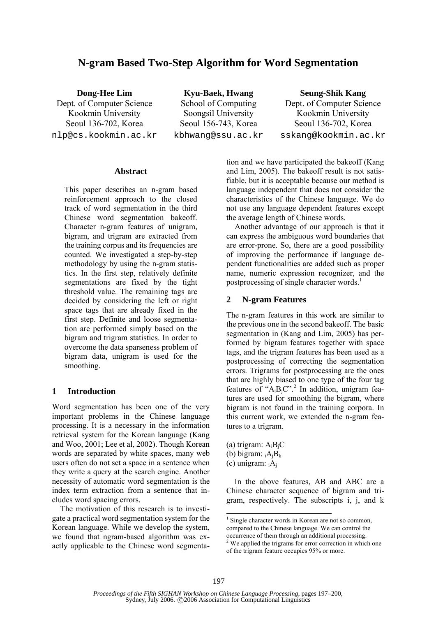# **N-gram Based Two-Step Algorithm for Word Segmentation**

**Dong-Hee Lim** 

Dept. of Computer Science Kookmin University Seoul 136-702, Korea nlp@cs.kookmin.ac.kr

**Kyu-Baek, Hwang**  School of Computing Soongsil University Seoul 156-743, Korea kbhwang@ssu.ac.kr **Seung-Shik Kang** 

Dept. of Computer Science Kookmin University Seoul 136-702, Korea sskang@kookmin.ac.kr

#### **Abstract**

This paper describes an n-gram based reinforcement approach to the closed track of word segmentation in the third Chinese word segmentation bakeoff. Character n-gram features of unigram, bigram, and trigram are extracted from the training corpus and its frequencies are counted. We investigated a step-by-step methodology by using the n-gram statistics. In the first step, relatively definite segmentations are fixed by the tight threshold value. The remaining tags are decided by considering the left or right space tags that are already fixed in the first step. Definite and loose segmentation are performed simply based on the bigram and trigram statistics. In order to overcome the data sparseness problem of bigram data, unigram is used for the smoothing.

## **1 Introduction**

Word segmentation has been one of the very important problems in the Chinese language processing. It is a necessary in the information retrieval system for the Korean language (Kang and Woo, 2001; Lee et al, 2002). Though Korean words are separated by white spaces, many web users often do not set a space in a sentence when they write a query at the search engine. Another necessity of automatic word segmentation is the index term extraction from a sentence that includes word spacing errors.

The motivation of this research is to investigate a practical word segmentation system for the Korean language. While we develop the system, we found that ngram-based algorithm was exactly applicable to the Chinese word segmenta-

tion and we have participated the bakeoff (Kang and Lim, 2005). The bakeoff result is not satisfiable, but it is acceptable because our method is language independent that does not consider the characteristics of the Chinese language. We do not use any language dependent features except the average length of Chinese words.

Another advantage of our approach is that it can express the ambiguous word boundaries that are error-prone. So, there are a good possibility of improving the performance if language dependent functionalities are added such as proper name, numeric expression recognizer, and the postprocessing of single character words.<sup>1</sup>

#### **2 N-gram Features**

The n-gram features in this work are similar to the previous one in the second bakeoff. The basic segmentation in (Kang and Lim, 2005) has performed by bigram features together with space tags, and the trigram features has been used as a postprocessing of correcting the segmentation errors. Trigrams for postprocessing are the ones that are highly biased to one type of the four tag features of " $A_iB_jC"$ .<sup>2</sup> In addition, unigram features are used for smoothing the bigram, where bigram is not found in the training corpora. In this current work, we extended the n-gram features to a trigram.

(a) trigram:  $A_iB_iC$ (b) bigram:  $iA_iB_k$ (c) unigram:  $iA_i$ 

In the above features, AB and ABC are a Chinese character sequence of bigram and trigram, respectively. The subscripts i, j, and k

-

<sup>&</sup>lt;sup>1</sup> Single character words in Korean are not so common, compared to the Chinese language. We can control the occurrence of them through an additional processing.

<sup>&</sup>lt;sup>2</sup> We applied the trigrams for error correction in which one of the trigram feature occupies 95% or more.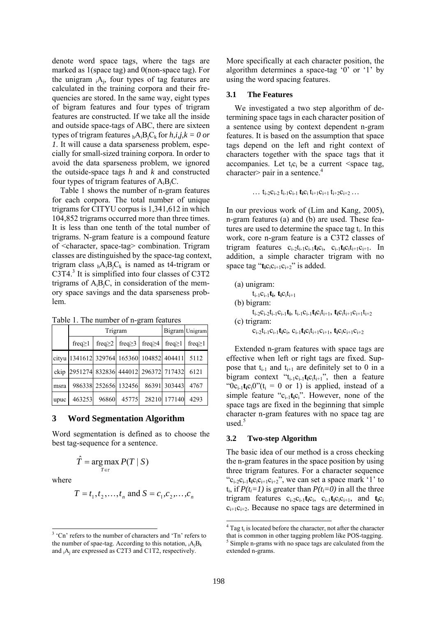denote word space tags, where the tags are marked as 1(space tag) and 0(non-space tag). For the unigram  $_iA_i$ , four types of tag features are calculated in the training corpora and their frequencies are stored. In the same way, eight types of bigram features and four types of trigram features are constructed. If we take all the inside and outside space-tags of ABC, there are sixteen types of trigram features  $_hA_iB_iC_k$  for  $h, i, j, k = 0$  or *1*. It will cause a data sparseness problem, especially for small-sized training corpora. In order to avoid the data sparseness problem, we ignored the outside-space tags *h* and *k* and constructed four types of trigram features of  $A_iB_iC$ .

Table 1 shows the number of n-gram features for each corpora. The total number of unique trigrams for CITYU corpus is 1,341,612 in which 104,852 trigrams occurred more than three times. It is less than one tenth of the total number of trigrams. N-gram feature is a compound feature of <character, space-tag> combination. Trigram classes are distinguished by the space-tag context, trigram class  $_{h}A_{i}B_{i}C_{k}$  is named as t4-trigram or  $C3T4$ .<sup>3</sup> It is simplified into four classes of  $C3T2$ trigrams of  $A_iB_iC$ , in consideration of the memory space savings and the data sparseness problem.

Table 1. The number of n-gram features

|  |      | Trigram                                        |                      |  |                                           | Bigram Unigram |               |
|--|------|------------------------------------------------|----------------------|--|-------------------------------------------|----------------|---------------|
|  |      | freq $\geq$ 1                                  |                      |  | freq $\geq$   freq $\geq$   freq $\geq$ 4 | freq $\geq$ 1  | freq $\geq$ 1 |
|  |      | cityu 1341612 329764 165360 104852 404411 5112 |                      |  |                                           |                |               |
|  |      | ckip 2951274 832836 444012 296372 717432       |                      |  |                                           |                | 6121          |
|  | msra |                                                | 986338 252656 132456 |  |                                           | 86391 303443   | 4767          |
|  | upuc |                                                | 463253 96860 45775   |  |                                           | 28210 177140   | 4293          |

#### **3 Word Segmentation Algorithm**

Word segmentation is defined as to choose the best tag-sequence for a sentence.

$$
\hat{T} = \argmax_{T \in \tau} P(T \mid S)
$$

where

$$
T = t_1, t_2, ..., t_n
$$
 and  $S = c_1, c_2, ..., c_n$ 

More specifically at each character position, the algorithm determines a space-tag '0' or '1' by using the word spacing features.

#### **3.1 The Features**

We investigated a two step algorithm of determining space tags in each character position of a sentence using by context dependent n-gram features. It is based on the assumption that space tags depend on the left and right context of characters together with the space tags that it accompanies. Let  $t_i c_i$  be a current  $\leq$ space tag, character> pair in a sentence. $4$ 

$$
\dots \; t_{i\text{-}2} c_{i\text{-}2} \, t_{i\text{-}1} c_{i\text{-}1} \, t_{i} c_{i} \, t_{i\text{+}1} c_{i\text{+}1} \, t_{i\text{+}2} c_{i\text{+}2} \, \dots
$$

In our previous work of (Lim and Kang, 2005), n-gram features (a) and (b) are used. These features are used to determine the space tag  $t_i$ . In this work, core n-gram feature is a C3T2 classes of trigram features  $c_{i-2}t_{i-1}c_{i-1}t_ic_i$ ,  $c_{i-1}t_ic_it_{i+1}c_{i+1}$ . In addition, a simple character trigram with no space tag " $t_i c_i c_{i+1} c_{i+2}$ " is added.

| (a) unigram:                              |    |
|-------------------------------------------|----|
| $t_{i-1}c_{i-1}t_i$ , $t_{i}c_{i}t_{i+1}$ |    |
| (b) bigram:                               |    |
| the cheath a chartacht contacht an        | t: |

 $t_{i-2}c_{i-2}t_{i-1}c_{i-1}t_i$ ,  $t_{i-1}c_{i-1}t_{i}c_{i}t_{i+1}$ ,  $t_{i}c_{i}t_{i+1}c_{i+1}t_{i+2}$ (c) trigram:

 $c_{i-2}t_{i-1}c_{i-1}t_{i}c_{i}, c_{i-1}t_{i}c_{i}t_{i+1}c_{i+1}, t_{i}c_{i}c_{i+1}c_{i+2}$ 

Extended n-gram features with space tags are effective when left or right tags are fixed. Suppose that  $t_{i-1}$  and  $t_{i+1}$  are definitely set to 0 in a bigram context "t<sub>i-1</sub>c<sub>i-1</sub>t<sub>i</sub>c<sub>i</sub>t<sub>i+1</sub>", then a feature " $0c_{i-1}t_i c_i0$ "( $t_i = 0$  or 1) is applied, instead of a simple feature "c<sub>i-1</sub>t<sub>i</sub>c<sub>i</sub>". However, none of the space tags are fixed in the beginning that simple character n-gram features with no space tag are used.<sup>5</sup>

#### **3.2 Two-step Algorithm**

The basic idea of our method is a cross checking the n-gram features in the space position by using three trigram features. For a character sequence " $c_{i-2}c_{i-1}t_i c_i c_{i+1}c_{i+2}$ ", we can set a space mark '1' to  $t_i$ , if  $P(t_i=1)$  is greater than  $P(t_i=0)$  in all the three trigram features  $c_{i-2}c_{i-1}t_ic_i$ ,  $c_{i-1}t_ic_ic_{i+1}$ , and  $t_ic_i$  $c_{i+1}c_{i+2}$ . Because no space tags are determined in

<sup>&</sup>lt;sup>3</sup> 'Cn' refers to the number of characters and 'Tn' refers to the number of spae-tag. According to this notation,  ${}_{i}A_{i}B_{k}$ and iAj are expressed as C2T3 and C1T2, respectively.

 $\frac{4 \text{ Tag } t_i \text{ is located before the character, not after the character.}$ that is common in other tagging problem like POS-tagging.  $<sup>5</sup>$  Simple n-grams with no space tags are calculated from the</sup> extended n-grams.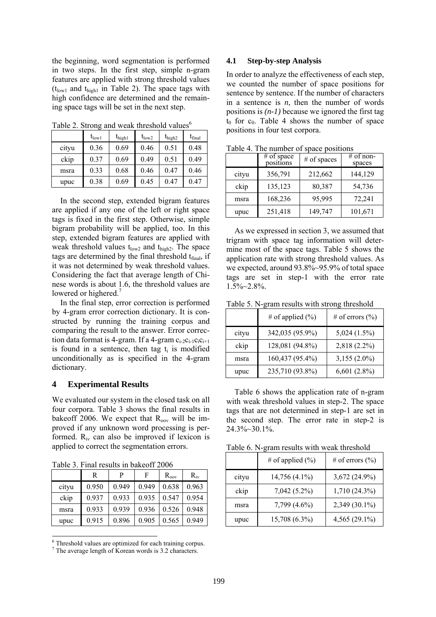the beginning, word segmentation is performed in two steps. In the first step, simple n-gram features are applied with strong threshold values  $(t_{\text{low1}}$  and  $t_{\text{high1}}$  in Table 2). The space tags with high confidence are determined and the remaining space tags will be set in the next step.

|       | $t_{\text{low}1}$ | $t_{\rm high1}$ | $t_{\text{low2}}$ | $t_{\rm high2}$ | $t_{final}$ |
|-------|-------------------|-----------------|-------------------|-----------------|-------------|
| cityu | 0.36              | 0.69            | 0.46              | 0.51            | 0.48        |
| ckip  | 0.37              | 0.69            | 0.49              | 0.51            | 0.49        |
| msra  | 0.33              | 0.68            | 0.46              | 0.47            | 0.46        |
| upuc  | 0.38              | 0.69            | 0.45              | 0.47            | 0.47        |

Table 2. Strong and weak threshold values<sup>6</sup>

In the second step, extended bigram features are applied if any one of the left or right space tags is fixed in the first step. Otherwise, simple bigram probability will be applied, too. In this step, extended bigram features are applied with weak threshold values  $t_{low2}$  and  $t_{high2}$ . The space tags are determined by the final threshold  $t_{final}$ , if it was not determined by weak threshold values. Considering the fact that average length of Chinese words is about 1.6, the threshold values are lowered or highered.<sup>7</sup>

In the final step, error correction is performed by 4-gram error correction dictionary. It is constructed by running the training corpus and comparing the result to the answer. Error correction data format is 4-gram. If a 4-gram  $c_{i-2}c_{i-1}c_{i}c_{i+1}$ is found in a sentence, then tag  $t_i$  is modified unconditionally as is specified in the 4-gram dictionary.

#### **4 Experimental Results**

We evaluated our system in the closed task on all four corpora. Table 3 shows the final results in bakeoff 2006. We expect that  $R_{\text{oov}}$  will be improved if any unknown word processing is performed.  $R_{iv}$  can also be improved if lexicon is applied to correct the segmentation errors.

Table 3. Final results in bakeoff 2006

l

|       | R     | P     | F     | $R_{\rm oov}$ | $R_{iv}$ |
|-------|-------|-------|-------|---------------|----------|
| cityu | 0.950 | 0.949 | 0.949 | 0.638         | 0.963    |
| ckip  | 0.937 | 0.933 | 0.935 | 0.547         | 0.954    |
| msra  | 0.933 | 0.939 | 0.936 | 0.526         | 0.948    |
| upuc  | 0.915 | 0.896 | 0.905 | 0.565         | 0.949    |

 $^6$  Threshold values are optimized for each training corpus.<br> $^7$  The sygmes langth of K green words is 3.2 sharesters.

 $7$  The average length of Korean words is 3.2 characters.

#### **4.1 Step-by-step Analysis**

In order to analyze the effectiveness of each step, we counted the number of space positions for sentence by sentence. If the number of characters in a sentence is *n*, then the number of words positions is *(n-1)* because we ignored the first tag  $t_0$  for  $c_0$ . Table 4 shows the number of space positions in four test corpora.

| Table +. The number of space positions |                           |               |                        |  |  |  |
|----------------------------------------|---------------------------|---------------|------------------------|--|--|--|
|                                        | $#$ of space<br>positions | $#$ of spaces | $\#$ of non-<br>spaces |  |  |  |
| cityu                                  | 356,791                   | 212,662       | 144,129                |  |  |  |
| ckip                                   | 135,123                   | 80,387        | 54,736                 |  |  |  |
| msra                                   | 168,236                   | 95,995        | 72,241                 |  |  |  |
| upuc                                   | 251,418                   | 149,747       | 101,671                |  |  |  |

Table 4. The number of space positions

As we expressed in section 3, we assumed that trigram with space tag information will determine most of the space tags. Table 5 shows the application rate with strong threshold values. As we expected, around 93.8%~95.9% of total space tags are set in step-1 with the error rate  $1.5\%$  ~  $2.8\%$ .

Table 5. N-gram results with strong threshold

|       | # of applied $(\% )$ | # of errors $(\%$ |
|-------|----------------------|-------------------|
| cityu | 342,035 (95.9%)      | $5,024(1.5\%)$    |
| ckip  | 128,081 (94.8%)      | 2,818 (2.2%)      |
| msra  | 160,437 (95.4%)      | $3,155(2.0\%)$    |
| upuc  | 235,710 (93.8%)      | $6,601(2.8\%)$    |

Table 6 shows the application rate of n-gram with weak threshold values in step-2. The space tags that are not determined in step-1 are set in the second step. The error rate in step-2 is 24.3%~30.1%.

Table 6. N-gram results with weak threshold

|       | # of applied $(\% )$ | # of errors $(\%$ |
|-------|----------------------|-------------------|
| cityu | 14,756 (4.1%)        | 3,672 (24.9%)     |
| ckip  | $7,042(5.2\%)$       | $1,710(24.3\%)$   |
| msra  | $7,799$ $(4.6\%)$    | 2,349 (30.1%)     |
| upuc  | 15,708 (6.3%)        | $4,565(29.1\%)$   |